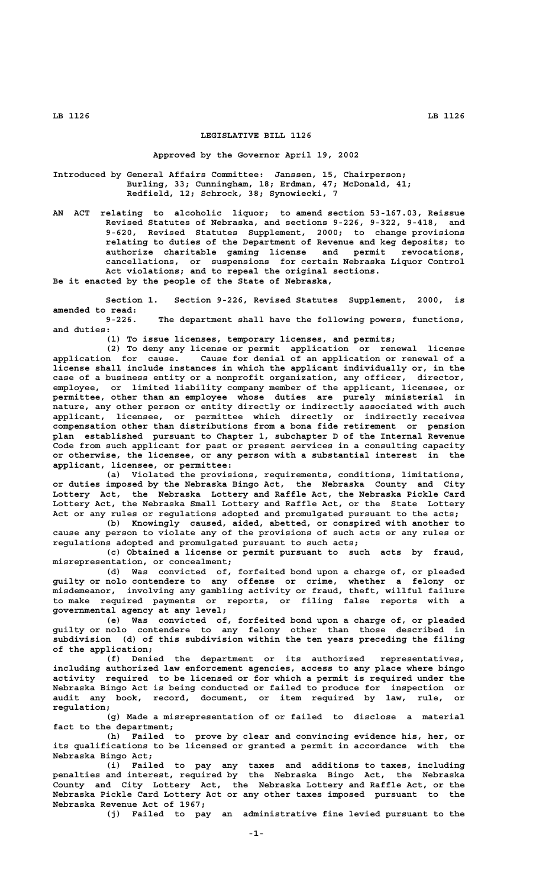### **LEGISLATIVE BILL 1126**

## **Approved by the Governor April 19, 2002**

**Introduced by General Affairs Committee: Janssen, 15, Chairperson; Burling, 33; Cunningham, 18; Erdman, 47; McDonald, 41; Redfield, 12; Schrock, 38; Synowiecki, 7**

**AN ACT relating to alcoholic liquor; to amend section 53-167.03, Reissue Revised Statutes of Nebraska, and sections 9-226, 9-322, 9-418, and 9-620, Revised Statutes Supplement, 2000; to change provisions relating to duties of the Department of Revenue and keg deposits; to authorize charitable gaming license and permit revocations, cancellations, or suspensions for certain Nebraska Liquor Control Act violations; and to repeal the original sections. Be it enacted by the people of the State of Nebraska,**

**Section 1. Section 9-226, Revised Statutes Supplement, 2000, is amended to read: 9-226. The department shall have the following powers, functions,**

 **and duties:**

**(1) To issue licenses, temporary licenses, and permits;**

**(2) To deny any license or permit application or renewal license application for cause. Cause for denial of an application or renewal of a license shall include instances in which the applicant individually or, in the case of a business entity or a nonprofit organization, any officer, director, employee, or limited liability company member of the applicant, licensee, or permittee, other than an employee whose duties are purely ministerial in nature, any other person or entity directly or indirectly associated with such applicant, licensee, or permittee which directly or indirectly receives compensation other than distributions from a bona fide retirement or pension plan established pursuant to Chapter 1, subchapter D of the Internal Revenue Code from such applicant for past or present services in a consulting capacity or otherwise, the licensee, or any person with a substantial interest in the applicant, licensee, or permittee:**

**(a) Violated the provisions, requirements, conditions, limitations, or duties imposed by the Nebraska Bingo Act, the Nebraska County and City Lottery Act, the Nebraska Lottery and Raffle Act, the Nebraska Pickle Card Lottery Act, the Nebraska Small Lottery and Raffle Act, or the State Lottery Act or any rules or regulations adopted and promulgated pursuant to the acts;**

**(b) Knowingly caused, aided, abetted, or conspired with another to cause any person to violate any of the provisions of such acts or any rules or regulations adopted and promulgated pursuant to such acts;**

**(c) Obtained a license or permit pursuant to such acts by fraud, misrepresentation, or concealment;**

**(d) Was convicted of, forfeited bond upon a charge of, or pleaded guilty or nolo contendere to any offense or crime, whether a felony or misdemeanor, involving any gambling activity or fraud, theft, willful failure to make required payments or reports, or filing false reports with a governmental agency at any level;**

**(e) Was convicted of, forfeited bond upon a charge of, or pleaded guilty or nolo contendere to any felony other than those described in subdivision (d) of this subdivision within the ten years preceding the filing of the application;**

**(f) Denied the department or its authorized representatives, including authorized law enforcement agencies, access to any place where bingo activity required to be licensed or for which a permit is required under the Nebraska Bingo Act is being conducted or failed to produce for inspection or audit any book, record, document, or item required by law, rule, or regulation;**

**(g) Made a misrepresentation of or failed to disclose a material fact to the department;**

**(h) Failed to prove by clear and convincing evidence his, her, or its qualifications to be licensed or granted a permit in accordance with the Nebraska Bingo Act;**

**(i) Failed to pay any taxes and additions to taxes, including penalties and interest, required by the Nebraska Bingo Act, the Nebraska County and City Lottery Act, the Nebraska Lottery and Raffle Act, or the Nebraska Pickle Card Lottery Act or any other taxes imposed pursuant to the Nebraska Revenue Act of 1967;**

**(j) Failed to pay an administrative fine levied pursuant to the**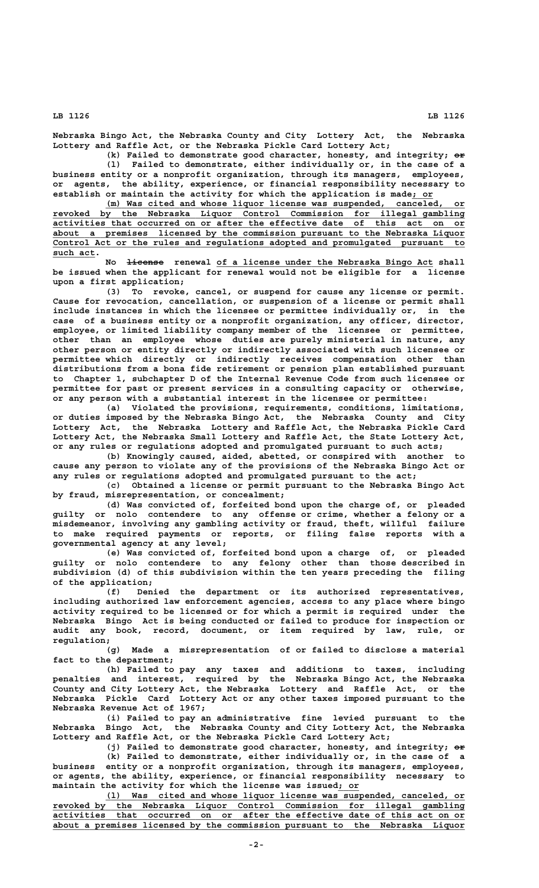**Nebraska Bingo Act, the Nebraska County and City Lottery Act, the Nebraska Lottery and Raffle Act, or the Nebraska Pickle Card Lottery Act;**

(k) Failed to demonstrate good character, honesty, and integrity;  $e\ddot{r}$ **(l) Failed to demonstrate, either individually or, in the case of a business entity or a nonprofit organization, through its managers, employees, or agents, the ability, experience, or financial responsibility necessary to establish or maintain the activity for which the application is made; or \_\_\_\_**

 **\_\_\_\_\_\_\_\_\_\_\_\_\_\_\_\_\_\_\_\_\_\_\_\_\_\_\_\_\_\_\_\_\_\_\_\_\_\_\_\_\_\_\_\_\_\_\_\_\_\_\_\_\_\_\_\_\_\_\_\_\_\_\_\_\_\_\_\_ (m) Was cited and whose liquor license was suspended, canceled, or \_\_\_\_\_\_\_\_\_\_\_\_\_\_\_\_\_\_\_\_\_\_\_\_\_\_\_\_\_\_\_\_\_\_\_\_\_\_\_\_\_\_\_\_\_\_\_\_\_\_\_\_\_\_\_\_\_\_\_\_\_\_\_\_\_\_\_\_\_\_\_\_\_\_\_\_\_\_ revoked by the Nebraska Liquor Control Commission for illegal gambling \_\_\_\_\_\_\_\_\_\_\_\_\_\_\_\_\_\_\_\_\_\_\_\_\_\_\_\_\_\_\_\_\_\_\_\_\_\_\_\_\_\_\_\_\_\_\_\_\_\_\_\_\_\_\_\_\_\_\_\_\_\_\_\_\_\_\_\_\_\_\_\_\_\_\_\_\_\_ activities that occurred on or after the effective date of this act on or \_\_\_\_\_\_\_\_\_\_\_\_\_\_\_\_\_\_\_\_\_\_\_\_\_\_\_\_\_\_\_\_\_\_\_\_\_\_\_\_\_\_\_\_\_\_\_\_\_\_\_\_\_\_\_\_\_\_\_\_\_\_\_\_\_\_\_\_\_\_\_\_\_\_\_\_\_\_ about a premises licensed by the commission pursuant to the Nebraska Liquor \_\_\_\_\_\_\_\_\_\_\_\_\_\_\_\_\_\_\_\_\_\_\_\_\_\_\_\_\_\_\_\_\_\_\_\_\_\_\_\_\_\_\_\_\_\_\_\_\_\_\_\_\_\_\_\_\_\_\_\_\_\_\_\_\_\_\_\_\_\_\_\_\_\_\_\_\_\_ Control Act or the rules and regulations adopted and promulgated pursuant to** such act.

No <del>license</del> renewal of a license under the Nebraska Bingo Act shall **be issued when the applicant for renewal would not be eligible for a license upon a first application;**

**(3) To revoke, cancel, or suspend for cause any license or permit. Cause for revocation, cancellation, or suspension of a license or permit shall include instances in which the licensee or permittee individually or, in the case of a business entity or a nonprofit organization, any officer, director, employee, or limited liability company member of the licensee or permittee, other than an employee whose duties are purely ministerial in nature, any other person or entity directly or indirectly associated with such licensee or permittee which directly or indirectly receives compensation other than distributions from a bona fide retirement or pension plan established pursuant to Chapter 1, subchapter D of the Internal Revenue Code from such licensee or permittee for past or present services in a consulting capacity or otherwise, or any person with a substantial interest in the licensee or permittee:**

**(a) Violated the provisions, requirements, conditions, limitations, or duties imposed by the Nebraska Bingo Act, the Nebraska County and City Lottery Act, the Nebraska Lottery and Raffle Act, the Nebraska Pickle Card Lottery Act, the Nebraska Small Lottery and Raffle Act, the State Lottery Act, or any rules or regulations adopted and promulgated pursuant to such acts;**

**(b) Knowingly caused, aided, abetted, or conspired with another to cause any person to violate any of the provisions of the Nebraska Bingo Act or any rules or regulations adopted and promulgated pursuant to the act;**

**(c) Obtained a license or permit pursuant to the Nebraska Bingo Act by fraud, misrepresentation, or concealment;**

**(d) Was convicted of, forfeited bond upon the charge of, or pleaded guilty or nolo contendere to any offense or crime, whether a felony or a misdemeanor, involving any gambling activity or fraud, theft, willful failure to make required payments or reports, or filing false reports with a governmental agency at any level;**

**(e) Was convicted of, forfeited bond upon a charge of, or pleaded guilty or nolo contendere to any felony other than those described in subdivision (d) of this subdivision within the ten years preceding the filing of the application;**

**(f) Denied the department or its authorized representatives, including authorized law enforcement agencies, access to any place where bingo activity required to be licensed or for which a permit is required under the Nebraska Bingo Act is being conducted or failed to produce for inspection or audit any book, record, document, or item required by law, rule, or regulation;**

**(g) Made a misrepresentation of or failed to disclose a material fact to the department;**

**(h) Failed to pay any taxes and additions to taxes, including penalties and interest, required by the Nebraska Bingo Act, the Nebraska County and City Lottery Act, the Nebraska Lottery and Raffle Act, or the Nebraska Pickle Card Lottery Act or any other taxes imposed pursuant to the Nebraska Revenue Act of 1967;**

**(i) Failed to pay an administrative fine levied pursuant to the Nebraska Bingo Act, the Nebraska County and City Lottery Act, the Nebraska Lottery and Raffle Act, or the Nebraska Pickle Card Lottery Act;**

(j) Failed to demonstrate good character, honesty, and integrity;  $\theta$ **x (k) Failed to demonstrate, either individually or, in the case of a business entity or a nonprofit organization, through its managers, employees, or agents, the ability, experience, or financial responsibility necessary to maintain the activity for which the license was issued; or \_\_\_\_**

 **\_\_\_\_\_\_\_\_\_\_\_\_\_\_\_\_\_\_\_\_\_\_\_\_\_\_\_\_\_\_\_\_\_\_\_\_\_\_\_\_\_\_\_\_\_\_\_\_\_\_\_\_\_\_\_\_\_\_\_\_\_\_\_\_\_\_\_\_ (l) Was cited and whose liquor license was suspended, canceled, or \_\_\_\_\_\_\_\_\_\_\_\_\_\_\_\_\_\_\_\_\_\_\_\_\_\_\_\_\_\_\_\_\_\_\_\_\_\_\_\_\_\_\_\_\_\_\_\_\_\_\_\_\_\_\_\_\_\_\_\_\_\_\_\_\_\_\_\_\_\_\_\_\_\_\_\_\_\_ revoked by the Nebraska Liquor Control Commission for illegal gambling \_\_\_\_\_\_\_\_\_\_\_\_\_\_\_\_\_\_\_\_\_\_\_\_\_\_\_\_\_\_\_\_\_\_\_\_\_\_\_\_\_\_\_\_\_\_\_\_\_\_\_\_\_\_\_\_\_\_\_\_\_\_\_\_\_\_\_\_\_\_\_\_\_\_\_\_\_\_ activities that occurred on or after the effective date of this act on or \_\_\_\_\_\_\_\_\_\_\_\_\_\_\_\_\_\_\_\_\_\_\_\_\_\_\_\_\_\_\_\_\_\_\_\_\_\_\_\_\_\_\_\_\_\_\_\_\_\_\_\_\_\_\_\_\_\_\_\_\_\_\_\_\_\_\_\_\_\_\_\_\_\_\_\_\_\_ about a premises licensed by the commission pursuant to the Nebraska Liquor**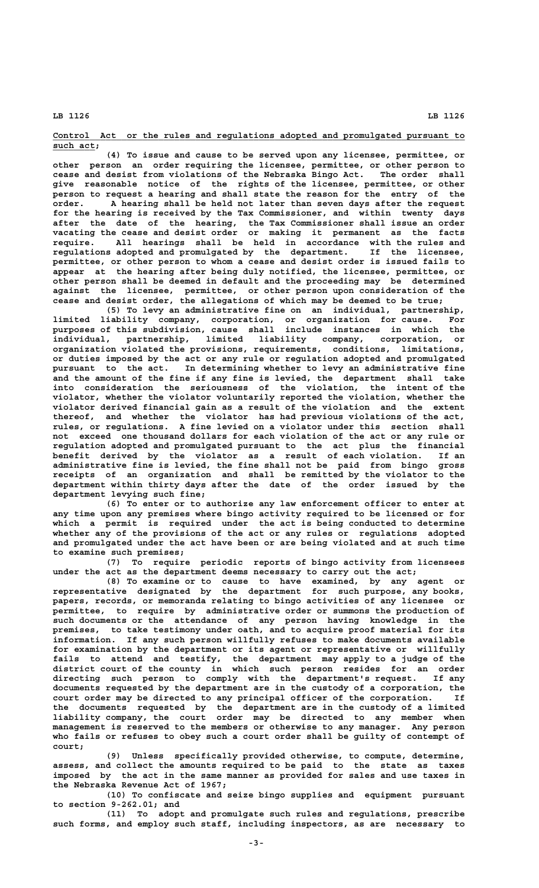**\_\_\_\_\_\_\_\_\_\_\_\_\_\_\_\_\_\_\_\_\_\_\_\_\_\_\_\_\_\_\_\_\_\_\_\_\_\_\_\_\_\_\_\_\_\_\_\_\_\_\_\_\_\_\_\_\_\_\_\_\_\_\_\_\_\_\_\_\_\_\_\_\_\_\_\_\_\_ Control Act or the rules and regulations adopted and promulgated pursuant to** such act;

**(4) To issue and cause to be served upon any licensee, permittee, or other person an order requiring the licensee, permittee, or other person to cease and desist from violations of the Nebraska Bingo Act. The order shall give reasonable notice of the rights of the licensee, permittee, or other person to request a hearing and shall state the reason for the entry of the order. A hearing shall be held not later than seven days after the request for the hearing is received by the Tax Commissioner, and within twenty days after the date of the hearing, the Tax Commissioner shall issue an order vacating the cease and desist order or making it permanent as the facts require. All hearings shall be held in accordance with the rules and regulations adopted and promulgated by the department. If the licensee, permittee, or other person to whom a cease and desist order is issued fails to appear at the hearing after being duly notified, the licensee, permittee, or other person shall be deemed in default and the proceeding may be determined against the licensee, permittee, or other person upon consideration of the cease and desist order, the allegations of which may be deemed to be true;**

**(5) To levy an administrative fine on an individual, partnership, limited liability company, corporation, or organization for cause. For purposes of this subdivision, cause shall include instances in which the individual, partnership, limited liability company, corporation, or organization violated the provisions, requirements, conditions, limitations, or duties imposed by the act or any rule or regulation adopted and promulgated pursuant to the act. In determining whether to levy an administrative fine and the amount of the fine if any fine is levied, the department shall take into consideration the seriousness of the violation, the intent of the violator, whether the violator voluntarily reported the violation, whether the violator derived financial gain as a result of the violation and the extent thereof, and whether the violator has had previous violations of the act, rules, or regulations. A fine levied on a violator under this section shall not exceed one thousand dollars for each violation of the act or any rule or regulation adopted and promulgated pursuant to the act plus the financial benefit derived by the violator as a result of each violation. If an administrative fine is levied, the fine shall not be paid from bingo gross receipts of an organization and shall be remitted by the violator to the department within thirty days after the date of the order issued by the department levying such fine;**

**(6) To enter or to authorize any law enforcement officer to enter at any time upon any premises where bingo activity required to be licensed or for which a permit is required under the act is being conducted to determine whether any of the provisions of the act or any rules or regulations adopted and promulgated under the act have been or are being violated and at such time to examine such premises;**

**(7) To require periodic reports of bingo activity from licensees under the act as the department deems necessary to carry out the act;**

**(8) To examine or to cause to have examined, by any agent or representative designated by the department for such purpose, any books, papers, records, or memoranda relating to bingo activities of any licensee or permittee, to require by administrative order or summons the production of such documents or the attendance of any person having knowledge in the premises, to take testimony under oath, and to acquire proof material for its information. If any such person willfully refuses to make documents available for examination by the department or its agent or representative or willfully fails to attend and testify, the department may apply to a judge of the district court of the county in which such person resides for an order directing such person to comply with the department's request. If any documents requested by the department are in the custody of a corporation, the court order may be directed to any principal officer of the corporation. If the documents requested by the department are in the custody of a limited liability company, the court order may be directed to any member when management is reserved to the members or otherwise to any manager. Any person who fails or refuses to obey such a court order shall be guilty of contempt of court;**

**(9) Unless specifically provided otherwise, to compute, determine, assess, and collect the amounts required to be paid to the state as taxes imposed by the act in the same manner as provided for sales and use taxes in the Nebraska Revenue Act of 1967;**

**(10) To confiscate and seize bingo supplies and equipment pursuant to section 9-262.01; and**

**(11) To adopt and promulgate such rules and regulations, prescribe such forms, and employ such staff, including inspectors, as are necessary to**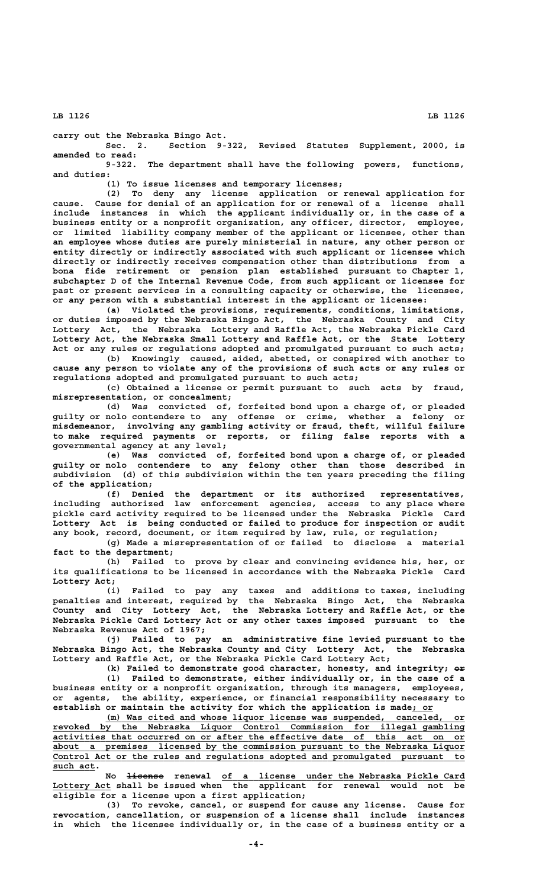**carry out the Nebraska Bingo Act.**

**Sec. 2. Section 9-322, Revised Statutes Supplement, 2000, is amended to read:**

**9-322. The department shall have the following powers, functions, and duties:**

**(1) To issue licenses and temporary licenses;**

**(2) To deny any license application or renewal application for cause. Cause for denial of an application for or renewal of a license shall include instances in which the applicant individually or, in the case of a business entity or a nonprofit organization, any officer, director, employee, or limited liability company member of the applicant or licensee, other than an employee whose duties are purely ministerial in nature, any other person or entity directly or indirectly associated with such applicant or licensee which directly or indirectly receives compensation other than distributions from a bona fide retirement or pension plan established pursuant to Chapter 1, subchapter D of the Internal Revenue Code, from such applicant or licensee for past or present services in a consulting capacity or otherwise, the licensee, or any person with a substantial interest in the applicant or licensee:**

**(a) Violated the provisions, requirements, conditions, limitations, or duties imposed by the Nebraska Bingo Act, the Nebraska County and City Lottery Act, the Nebraska Lottery and Raffle Act, the Nebraska Pickle Card Lottery Act, the Nebraska Small Lottery and Raffle Act, or the State Lottery Act or any rules or regulations adopted and promulgated pursuant to such acts;**

**(b) Knowingly caused, aided, abetted, or conspired with another to cause any person to violate any of the provisions of such acts or any rules or regulations adopted and promulgated pursuant to such acts;**

**(c) Obtained a license or permit pursuant to such acts by fraud, misrepresentation, or concealment;**

**(d) Was convicted of, forfeited bond upon a charge of, or pleaded guilty or nolo contendere to any offense or crime, whether a felony or misdemeanor, involving any gambling activity or fraud, theft, willful failure to make required payments or reports, or filing false reports with a governmental agency at any level;**

**(e) Was convicted of, forfeited bond upon a charge of, or pleaded guilty or nolo contendere to any felony other than those described in subdivision (d) of this subdivision within the ten years preceding the filing of the application;**

**(f) Denied the department or its authorized representatives, including authorized law enforcement agencies, access to any place where pickle card activity required to be licensed under the Nebraska Pickle Card Lottery Act is being conducted or failed to produce for inspection or audit any book, record, document, or item required by law, rule, or regulation;**

**(g) Made a misrepresentation of or failed to disclose a material fact to the department;**

**(h) Failed to prove by clear and convincing evidence his, her, or its qualifications to be licensed in accordance with the Nebraska Pickle Card Lottery Act;**

**(i) Failed to pay any taxes and additions to taxes, including penalties and interest, required by the Nebraska Bingo Act, the Nebraska County and City Lottery Act, the Nebraska Lottery and Raffle Act, or the Nebraska Pickle Card Lottery Act or any other taxes imposed pursuant to the Nebraska Revenue Act of 1967;**

**(j) Failed to pay an administrative fine levied pursuant to the Nebraska Bingo Act, the Nebraska County and City Lottery Act, the Nebraska Lottery and Raffle Act, or the Nebraska Pickle Card Lottery Act;**

(k) Failed to demonstrate good character, honesty, and integrity;  $e\rightarrow$ 

**(l) Failed to demonstrate, either individually or, in the case of a business entity or a nonprofit organization, through its managers, employees, or agents, the ability, experience, or financial responsibility necessary to** establish or maintain the activity for which the application is made; or

 **\_\_\_\_\_\_\_\_\_\_\_\_\_\_\_\_\_\_\_\_\_\_\_\_\_\_\_\_\_\_\_\_\_\_\_\_\_\_\_\_\_\_\_\_\_\_\_\_\_\_\_\_\_\_\_\_\_\_\_\_\_\_\_\_\_\_\_\_ (m) Was cited and whose liquor license was suspended, canceled, or \_\_\_\_\_\_\_\_\_\_\_\_\_\_\_\_\_\_\_\_\_\_\_\_\_\_\_\_\_\_\_\_\_\_\_\_\_\_\_\_\_\_\_\_\_\_\_\_\_\_\_\_\_\_\_\_\_\_\_\_\_\_\_\_\_\_\_\_\_\_\_\_\_\_\_\_\_\_ revoked by the Nebraska Liquor Control Commission for illegal gambling \_\_\_\_\_\_\_\_\_\_\_\_\_\_\_\_\_\_\_\_\_\_\_\_\_\_\_\_\_\_\_\_\_\_\_\_\_\_\_\_\_\_\_\_\_\_\_\_\_\_\_\_\_\_\_\_\_\_\_\_\_\_\_\_\_\_\_\_\_\_\_\_\_\_\_\_\_\_ activities that occurred on or after the effective date of this act on or \_\_\_\_\_\_\_\_\_\_\_\_\_\_\_\_\_\_\_\_\_\_\_\_\_\_\_\_\_\_\_\_\_\_\_\_\_\_\_\_\_\_\_\_\_\_\_\_\_\_\_\_\_\_\_\_\_\_\_\_\_\_\_\_\_\_\_\_\_\_\_\_\_\_\_\_\_\_ about a premises licensed by the commission pursuant to the Nebraska Liquor \_\_\_\_\_\_\_\_\_\_\_\_\_\_\_\_\_\_\_\_\_\_\_\_\_\_\_\_\_\_\_\_\_\_\_\_\_\_\_\_\_\_\_\_\_\_\_\_\_\_\_\_\_\_\_\_\_\_\_\_\_\_\_\_\_\_\_\_\_\_\_\_\_\_\_\_\_\_ Control Act or the rules and regulations adopted and promulgated pursuant to** such act.

 **——————— \_\_\_\_\_\_\_\_\_\_\_\_\_\_\_\_\_\_\_\_\_\_\_\_\_\_\_\_\_\_\_\_\_\_\_\_\_\_\_\_\_\_\_\_\_\_ No license renewal of a license under the Nebraska Pickle Card \_\_\_\_\_\_\_\_\_\_\_ Lottery Act shall be issued when the applicant for renewal would not be eligible for a license upon a first application;**

**(3) To revoke, cancel, or suspend for cause any license. Cause for revocation, cancellation, or suspension of a license shall include instances in which the licensee individually or, in the case of a business entity or a**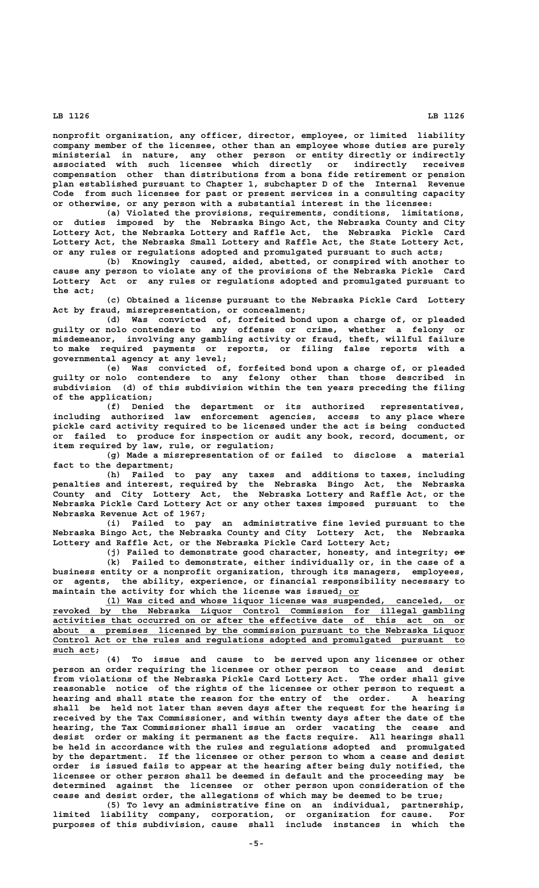**nonprofit organization, any officer, director, employee, or limited liability company member of the licensee, other than an employee whose duties are purely ministerial in nature, any other person or entity directly or indirectly associated with such licensee which directly or indirectly receives compensation other than distributions from a bona fide retirement or pension plan established pursuant to Chapter 1, subchapter D of the Internal Revenue Code from such licensee for past or present services in a consulting capacity or otherwise, or any person with a substantial interest in the licensee:**

**(a) Violated the provisions, requirements, conditions, limitations, or duties imposed by the Nebraska Bingo Act, the Nebraska County and City Lottery Act, the Nebraska Lottery and Raffle Act, the Nebraska Pickle Card Lottery Act, the Nebraska Small Lottery and Raffle Act, the State Lottery Act, or any rules or regulations adopted and promulgated pursuant to such acts;**

**(b) Knowingly caused, aided, abetted, or conspired with another to cause any person to violate any of the provisions of the Nebraska Pickle Card Lottery Act or any rules or regulations adopted and promulgated pursuant to the act;**

**(c) Obtained a license pursuant to the Nebraska Pickle Card Lottery Act by fraud, misrepresentation, or concealment;**

**(d) Was convicted of, forfeited bond upon a charge of, or pleaded guilty or nolo contendere to any offense or crime, whether a felony or misdemeanor, involving any gambling activity or fraud, theft, willful failure to make required payments or reports, or filing false reports with a governmental agency at any level;**

**(e) Was convicted of, forfeited bond upon a charge of, or pleaded guilty or nolo contendere to any felony other than those described in subdivision (d) of this subdivision within the ten years preceding the filing of the application;**

**(f) Denied the department or its authorized representatives, including authorized law enforcement agencies, access to any place where pickle card activity required to be licensed under the act is being conducted or failed to produce for inspection or audit any book, record, document, or item required by law, rule, or regulation;**

**(g) Made a misrepresentation of or failed to disclose a material fact to the department;**

**(h) Failed to pay any taxes and additions to taxes, including penalties and interest, required by the Nebraska Bingo Act, the Nebraska County and City Lottery Act, the Nebraska Lottery and Raffle Act, or the Nebraska Pickle Card Lottery Act or any other taxes imposed pursuant to the Nebraska Revenue Act of 1967;**

**(i) Failed to pay an administrative fine levied pursuant to the Nebraska Bingo Act, the Nebraska County and City Lottery Act, the Nebraska Lottery and Raffle Act, or the Nebraska Pickle Card Lottery Act;**

(j) Failed to demonstrate good character, honesty, and integrity;  $e^2$ **(k) Failed to demonstrate, either individually or, in the case of a business entity or a nonprofit organization, through its managers, employees, or agents, the ability, experience, or financial responsibility necessary to maintain the activity for which the license was issued; or \_\_\_\_**

 **\_\_\_\_\_\_\_\_\_\_\_\_\_\_\_\_\_\_\_\_\_\_\_\_\_\_\_\_\_\_\_\_\_\_\_\_\_\_\_\_\_\_\_\_\_\_\_\_\_\_\_\_\_\_\_\_\_\_\_\_\_\_\_\_\_\_\_\_ (l) Was cited and whose liquor license was suspended, canceled, or \_\_\_\_\_\_\_\_\_\_\_\_\_\_\_\_\_\_\_\_\_\_\_\_\_\_\_\_\_\_\_\_\_\_\_\_\_\_\_\_\_\_\_\_\_\_\_\_\_\_\_\_\_\_\_\_\_\_\_\_\_\_\_\_\_\_\_\_\_\_\_\_\_\_\_\_\_\_ revoked by the Nebraska Liquor Control Commission for illegal gambling \_\_\_\_\_\_\_\_\_\_\_\_\_\_\_\_\_\_\_\_\_\_\_\_\_\_\_\_\_\_\_\_\_\_\_\_\_\_\_\_\_\_\_\_\_\_\_\_\_\_\_\_\_\_\_\_\_\_\_\_\_\_\_\_\_\_\_\_\_\_\_\_\_\_\_\_\_\_ activities that occurred on or after the effective date of this act on or \_\_\_\_\_\_\_\_\_\_\_\_\_\_\_\_\_\_\_\_\_\_\_\_\_\_\_\_\_\_\_\_\_\_\_\_\_\_\_\_\_\_\_\_\_\_\_\_\_\_\_\_\_\_\_\_\_\_\_\_\_\_\_\_\_\_\_\_\_\_\_\_\_\_\_\_\_\_ about a premises licensed by the commission pursuant to the Nebraska Liquor \_\_\_\_\_\_\_\_\_\_\_\_\_\_\_\_\_\_\_\_\_\_\_\_\_\_\_\_\_\_\_\_\_\_\_\_\_\_\_\_\_\_\_\_\_\_\_\_\_\_\_\_\_\_\_\_\_\_\_\_\_\_\_\_\_\_\_\_\_\_\_\_\_\_\_\_\_\_ Control Act or the rules and regulations adopted and promulgated pursuant to** such act;

**(4) To issue and cause to be served upon any licensee or other person an order requiring the licensee or other person to cease and desist from violations of the Nebraska Pickle Card Lottery Act. The order shall give reasonable notice of the rights of the licensee or other person to request a hearing and shall state the reason for the entry of the order. A hearing shall be held not later than seven days after the request for the hearing is received by the Tax Commissioner, and within twenty days after the date of the hearing, the Tax Commissioner shall issue an order vacating the cease and desist order or making it permanent as the facts require. All hearings shall be held in accordance with the rules and regulations adopted and promulgated by the department. If the licensee or other person to whom a cease and desist order is issued fails to appear at the hearing after being duly notified, the licensee or other person shall be deemed in default and the proceeding may be determined against the licensee or other person upon consideration of the cease and desist order, the allegations of which may be deemed to be true;**

**(5) To levy an administrative fine on an individual, partnership, limited liability company, corporation, or organization for cause. For purposes of this subdivision, cause shall include instances in which the**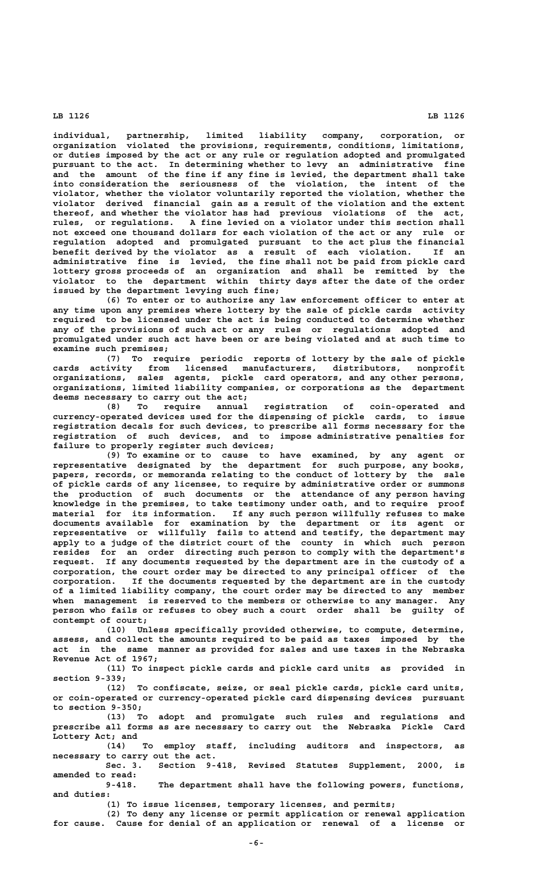**individual, partnership, limited liability company, corporation, or organization violated the provisions, requirements, conditions, limitations, or duties imposed by the act or any rule or regulation adopted and promulgated pursuant to the act. In determining whether to levy an administrative fine and the amount of the fine if any fine is levied, the department shall take into consideration the seriousness of the violation, the intent of the violator, whether the violator voluntarily reported the violation, whether the violator derived financial gain as a result of the violation and the extent thereof, and whether the violator has had previous violations of the act, rules, or regulations. A fine levied on a violator under this section shall not exceed one thousand dollars for each violation of the act or any rule or regulation adopted and promulgated pursuant to the act plus the financial benefit derived by the violator as a result of each violation. If an administrative fine is levied, the fine shall not be paid from pickle card lottery gross proceeds of an organization and shall be remitted by the violator to the department within thirty days after the date of the order issued by the department levying such fine;**

**(6) To enter or to authorize any law enforcement officer to enter at any time upon any premises where lottery by the sale of pickle cards activity required to be licensed under the act is being conducted to determine whether any of the provisions of such act or any rules or regulations adopted and promulgated under such act have been or are being violated and at such time to examine such premises;**

**(7) To require periodic reports of lottery by the sale of pickle cards activity from licensed manufacturers, distributors, nonprofit organizations, sales agents, pickle card operators, and any other persons, organizations, limited liability companies, or corporations as the department deems necessary to carry out the act;**

**(8) To require annual registration of coin-operated and currency-operated devices used for the dispensing of pickle cards, to issue registration decals for such devices, to prescribe all forms necessary for the registration of such devices, and to impose administrative penalties for failure to properly register such devices;**

**(9) To examine or to cause to have examined, by any agent or representative designated by the department for such purpose, any books, papers, records, or memoranda relating to the conduct of lottery by the sale of pickle cards of any licensee, to require by administrative order or summons the production of such documents or the attendance of any person having knowledge in the premises, to take testimony under oath, and to require proof material for its information. If any such person willfully refuses to make documents available for examination by the department or its agent or representative or willfully fails to attend and testify, the department may apply to a judge of the district court of the county in which such person resides for an order directing such person to comply with the department's request. If any documents requested by the department are in the custody of a corporation, the court order may be directed to any principal officer of the corporation. If the documents requested by the department are in the custody of a limited liability company, the court order may be directed to any member when management is reserved to the members or otherwise to any manager. Any person who fails or refuses to obey such a court order shall be guilty of contempt of court;**

**(10) Unless specifically provided otherwise, to compute, determine, assess, and collect the amounts required to be paid as taxes imposed by the act in the same manner as provided for sales and use taxes in the Nebraska Revenue Act of 1967;**

**(11) To inspect pickle cards and pickle card units as provided in section 9-339;**

**(12) To confiscate, seize, or seal pickle cards, pickle card units, or coin-operated or currency-operated pickle card dispensing devices pursuant to section 9-350;**

**(13) To adopt and promulgate such rules and regulations and prescribe all forms as are necessary to carry out the Nebraska Pickle Card Lottery Act; and**

**(14) To employ staff, including auditors and inspectors, as necessary to carry out the act.**

**Sec. 3. Section 9-418, Revised Statutes Supplement, 2000, is amended to read:**

**9-418. The department shall have the following powers, functions, and duties:**

**(1) To issue licenses, temporary licenses, and permits;**

**(2) To deny any license or permit application or renewal application for cause. Cause for denial of an application or renewal of a license or**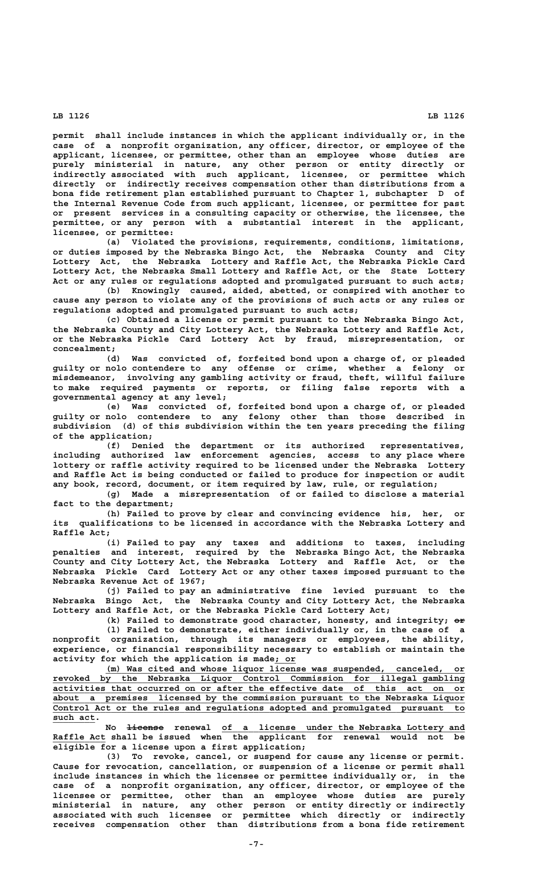**permit shall include instances in which the applicant individually or, in the case of a nonprofit organization, any officer, director, or employee of the applicant, licensee, or permittee, other than an employee whose duties are purely ministerial in nature, any other person or entity directly or indirectly associated with such applicant, licensee, or permittee which directly or indirectly receives compensation other than distributions from a bona fide retirement plan established pursuant to Chapter 1, subchapter D of the Internal Revenue Code from such applicant, licensee, or permittee for past or present services in a consulting capacity or otherwise, the licensee, the permittee, or any person with a substantial interest in the applicant, licensee, or permittee:**

**(a) Violated the provisions, requirements, conditions, limitations, or duties imposed by the Nebraska Bingo Act, the Nebraska County and City Lottery Act, the Nebraska Lottery and Raffle Act, the Nebraska Pickle Card Lottery Act, the Nebraska Small Lottery and Raffle Act, or the State Lottery Act or any rules or regulations adopted and promulgated pursuant to such acts;**

**(b) Knowingly caused, aided, abetted, or conspired with another to cause any person to violate any of the provisions of such acts or any rules or regulations adopted and promulgated pursuant to such acts;**

**(c) Obtained a license or permit pursuant to the Nebraska Bingo Act, the Nebraska County and City Lottery Act, the Nebraska Lottery and Raffle Act, or the Nebraska Pickle Card Lottery Act by fraud, misrepresentation, or concealment;**

**(d) Was convicted of, forfeited bond upon a charge of, or pleaded guilty or nolo contendere to any offense or crime, whether a felony or misdemeanor, involving any gambling activity or fraud, theft, willful failure to make required payments or reports, or filing false reports with a governmental agency at any level;**

**(e) Was convicted of, forfeited bond upon a charge of, or pleaded guilty or nolo contendere to any felony other than those described in subdivision (d) of this subdivision within the ten years preceding the filing of the application;**

**(f) Denied the department or its authorized representatives, including authorized law enforcement agencies, access to any place where lottery or raffle activity required to be licensed under the Nebraska Lottery and Raffle Act is being conducted or failed to produce for inspection or audit any book, record, document, or item required by law, rule, or regulation;**

**(g) Made a misrepresentation of or failed to disclose a material fact to the department;**

**(h) Failed to prove by clear and convincing evidence his, her, or its qualifications to be licensed in accordance with the Nebraska Lottery and Raffle Act;**

**(i) Failed to pay any taxes and additions to taxes, including penalties and interest, required by the Nebraska Bingo Act, the Nebraska County and City Lottery Act, the Nebraska Lottery and Raffle Act, or the Nebraska Pickle Card Lottery Act or any other taxes imposed pursuant to the Nebraska Revenue Act of 1967;**

**(j) Failed to pay an administrative fine levied pursuant to the Nebraska Bingo Act, the Nebraska County and City Lottery Act, the Nebraska Lottery and Raffle Act, or the Nebraska Pickle Card Lottery Act;**

(k) Failed to demonstrate good character, honesty, and integrity;  $\Theta \hat{r}$ **(l) Failed to demonstrate, either individually or, in the case of a nonprofit organization, through its managers or employees, the ability, experience, or financial responsibility necessary to establish or maintain the \_\_\_\_ activity for which the application is made; or**

 **\_\_\_\_\_\_\_\_\_\_\_\_\_\_\_\_\_\_\_\_\_\_\_\_\_\_\_\_\_\_\_\_\_\_\_\_\_\_\_\_\_\_\_\_\_\_\_\_\_\_\_\_\_\_\_\_\_\_\_\_\_\_\_\_\_\_\_\_ (m) Was cited and whose liquor license was suspended, canceled, or \_\_\_\_\_\_\_\_\_\_\_\_\_\_\_\_\_\_\_\_\_\_\_\_\_\_\_\_\_\_\_\_\_\_\_\_\_\_\_\_\_\_\_\_\_\_\_\_\_\_\_\_\_\_\_\_\_\_\_\_\_\_\_\_\_\_\_\_\_\_\_\_\_\_\_\_\_\_ revoked by the Nebraska Liquor Control Commission for illegal gambling \_\_\_\_\_\_\_\_\_\_\_\_\_\_\_\_\_\_\_\_\_\_\_\_\_\_\_\_\_\_\_\_\_\_\_\_\_\_\_\_\_\_\_\_\_\_\_\_\_\_\_\_\_\_\_\_\_\_\_\_\_\_\_\_\_\_\_\_\_\_\_\_\_\_\_\_\_\_ activities that occurred on or after the effective date of this act on or \_\_\_\_\_\_\_\_\_\_\_\_\_\_\_\_\_\_\_\_\_\_\_\_\_\_\_\_\_\_\_\_\_\_\_\_\_\_\_\_\_\_\_\_\_\_\_\_\_\_\_\_\_\_\_\_\_\_\_\_\_\_\_\_\_\_\_\_\_\_\_\_\_\_\_\_\_\_ about a premises licensed by the commission pursuant to the Nebraska Liquor \_\_\_\_\_\_\_\_\_\_\_\_\_\_\_\_\_\_\_\_\_\_\_\_\_\_\_\_\_\_\_\_\_\_\_\_\_\_\_\_\_\_\_\_\_\_\_\_\_\_\_\_\_\_\_\_\_\_\_\_\_\_\_\_\_\_\_\_\_\_\_\_\_\_\_\_\_\_ Control Act or the rules and regulations adopted and promulgated pursuant to** such act.

 **——————— \_\_\_\_\_\_\_\_\_\_\_\_\_\_\_\_\_\_\_\_\_\_\_\_\_\_\_\_\_\_\_\_\_\_\_\_\_\_\_\_\_\_\_\_\_\_ No license renewal of a license under the Nebraska Lottery and \_\_\_\_\_\_\_\_\_\_ Raffle Act shall be issued when the applicant for renewal would not be eligible for a license upon a first application;**

**(3) To revoke, cancel, or suspend for cause any license or permit. Cause for revocation, cancellation, or suspension of a license or permit shall include instances in which the licensee or permittee individually or, in the case of a nonprofit organization, any officer, director, or employee of the licensee or permittee, other than an employee whose duties are purely ministerial in nature, any other person or entity directly or indirectly associated with such licensee or permittee which directly or indirectly receives compensation other than distributions from a bona fide retirement**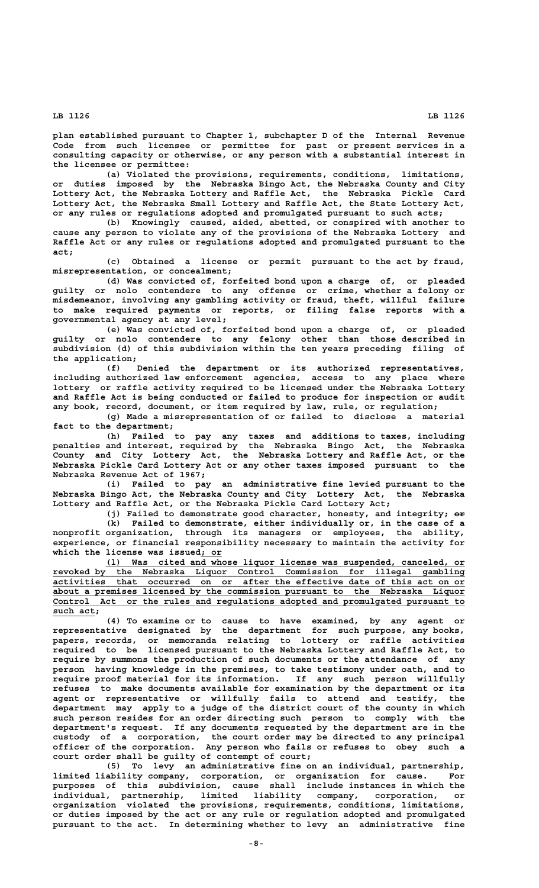**plan established pursuant to Chapter 1, subchapter D of the Internal Revenue Code from such licensee or permittee for past or present services in a consulting capacity or otherwise, or any person with a substantial interest in the licensee or permittee:**

**(a) Violated the provisions, requirements, conditions, limitations, or duties imposed by the Nebraska Bingo Act, the Nebraska County and City Lottery Act, the Nebraska Lottery and Raffle Act, the Nebraska Pickle Card Lottery Act, the Nebraska Small Lottery and Raffle Act, the State Lottery Act, or any rules or regulations adopted and promulgated pursuant to such acts;**

**(b) Knowingly caused, aided, abetted, or conspired with another to cause any person to violate any of the provisions of the Nebraska Lottery and Raffle Act or any rules or regulations adopted and promulgated pursuant to the act;**

**(c) Obtained a license or permit pursuant to the act by fraud, misrepresentation, or concealment;**

**(d) Was convicted of, forfeited bond upon a charge of, or pleaded guilty or nolo contendere to any offense or crime, whether a felony or misdemeanor, involving any gambling activity or fraud, theft, willful failure to make required payments or reports, or filing false reports with a governmental agency at any level;**

**(e) Was convicted of, forfeited bond upon a charge of, or pleaded guilty or nolo contendere to any felony other than those described in subdivision (d) of this subdivision within the ten years preceding filing of the application;**

**(f) Denied the department or its authorized representatives, including authorized law enforcement agencies, access to any place where lottery or raffle activity required to be licensed under the Nebraska Lottery and Raffle Act is being conducted or failed to produce for inspection or audit any book, record, document, or item required by law, rule, or regulation;**

**(g) Made a misrepresentation of or failed to disclose a material fact to the department;**

**(h) Failed to pay any taxes and additions to taxes, including penalties and interest, required by the Nebraska Bingo Act, the Nebraska County and City Lottery Act, the Nebraska Lottery and Raffle Act, or the Nebraska Pickle Card Lottery Act or any other taxes imposed pursuant to the Nebraska Revenue Act of 1967;**

**(i) Failed to pay an administrative fine levied pursuant to the Nebraska Bingo Act, the Nebraska County and City Lottery Act, the Nebraska Lottery and Raffle Act, or the Nebraska Pickle Card Lottery Act;**

(j) Failed to demonstrate good character, honesty, and integrity;  $e\rightarrow$ **(k) Failed to demonstrate, either individually or, in the case of a nonprofit organization, through its managers or employees, the ability, experience, or financial responsibility necessary to maintain the activity for \_\_\_\_ which the license was issued; or**

 **\_\_\_\_\_\_\_\_\_\_\_\_\_\_\_\_\_\_\_\_\_\_\_\_\_\_\_\_\_\_\_\_\_\_\_\_\_\_\_\_\_\_\_\_\_\_\_\_\_\_\_\_\_\_\_\_\_\_\_\_\_\_\_\_\_\_\_\_ (l) Was cited and whose liquor license was suspended, canceled, or \_\_\_\_\_\_\_\_\_\_\_\_\_\_\_\_\_\_\_\_\_\_\_\_\_\_\_\_\_\_\_\_\_\_\_\_\_\_\_\_\_\_\_\_\_\_\_\_\_\_\_\_\_\_\_\_\_\_\_\_\_\_\_\_\_\_\_\_\_\_\_\_\_\_\_\_\_\_ revoked by the Nebraska Liquor Control Commission for illegal gambling \_\_\_\_\_\_\_\_\_\_\_\_\_\_\_\_\_\_\_\_\_\_\_\_\_\_\_\_\_\_\_\_\_\_\_\_\_\_\_\_\_\_\_\_\_\_\_\_\_\_\_\_\_\_\_\_\_\_\_\_\_\_\_\_\_\_\_\_\_\_\_\_\_\_\_\_\_\_ activities that occurred on or after the effective date of this act on or \_\_\_\_\_\_\_\_\_\_\_\_\_\_\_\_\_\_\_\_\_\_\_\_\_\_\_\_\_\_\_\_\_\_\_\_\_\_\_\_\_\_\_\_\_\_\_\_\_\_\_\_\_\_\_\_\_\_\_\_\_\_\_\_\_\_\_\_\_\_\_\_\_\_\_\_\_\_ about a premises licensed by the commission pursuant to the Nebraska Liquor \_\_\_\_\_\_\_\_\_\_\_\_\_\_\_\_\_\_\_\_\_\_\_\_\_\_\_\_\_\_\_\_\_\_\_\_\_\_\_\_\_\_\_\_\_\_\_\_\_\_\_\_\_\_\_\_\_\_\_\_\_\_\_\_\_\_\_\_\_\_\_\_\_\_\_\_\_\_ Control Act or the rules and regulations adopted and promulgated pursuant to** such act;

> **(4) To examine or to cause to have examined, by any agent or representative designated by the department for such purpose, any books, papers, records, or memoranda relating to lottery or raffle activities required to be licensed pursuant to the Nebraska Lottery and Raffle Act, to require by summons the production of such documents or the attendance of any person having knowledge in the premises, to take testimony under oath, and to require proof material for its information. If any such person willfully refuses to make documents available for examination by the department or its agent or representative or willfully fails to attend and testify, the department may apply to a judge of the district court of the county in which such person resides for an order directing such person to comply with the department's request. If any documents requested by the department are in the custody of a corporation, the court order may be directed to any principal officer of the corporation. Any person who fails or refuses to obey such a court order shall be guilty of contempt of court;**

> **(5) To levy an administrative fine on an individual, partnership, limited liability company, corporation, or organization for cause. For purposes of this subdivision, cause shall include instances in which the individual, partnership, limited liability company, corporation, or organization violated the provisions, requirements, conditions, limitations, or duties imposed by the act or any rule or regulation adopted and promulgated pursuant to the act. In determining whether to levy an administrative fine**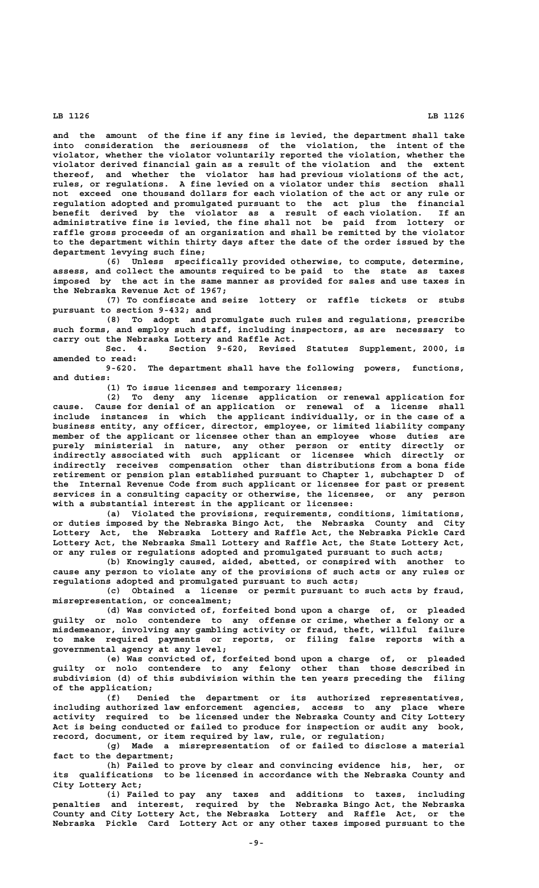**and the amount of the fine if any fine is levied, the department shall take into consideration the seriousness of the violation, the intent of the violator, whether the violator voluntarily reported the violation, whether the violator derived financial gain as a result of the violation and the extent thereof, and whether the violator has had previous violations of the act, rules, or regulations. A fine levied on a violator under this section shall not exceed one thousand dollars for each violation of the act or any rule or regulation adopted and promulgated pursuant to the act plus the financial benefit derived by the violator as a result of each violation. If an administrative fine is levied, the fine shall not be paid from lottery or raffle gross proceeds of an organization and shall be remitted by the violator to the department within thirty days after the date of the order issued by the department levying such fine;**

**(6) Unless specifically provided otherwise, to compute, determine, assess, and collect the amounts required to be paid to the state as taxes imposed by the act in the same manner as provided for sales and use taxes in the Nebraska Revenue Act of 1967;**

**(7) To confiscate and seize lottery or raffle tickets or stubs pursuant to section 9-432; and**

**(8) To adopt and promulgate such rules and regulations, prescribe such forms, and employ such staff, including inspectors, as are necessary to carry out the Nebraska Lottery and Raffle Act.**

**Sec. 4. Section 9-620, Revised Statutes Supplement, 2000, is amended to read:**

**9-620. The department shall have the following powers, functions, and duties:**

**(1) To issue licenses and temporary licenses;**

**(2) To deny any license application or renewal application for cause. Cause for denial of an application or renewal of a license shall include instances in which the applicant individually, or in the case of a business entity, any officer, director, employee, or limited liability company member of the applicant or licensee other than an employee whose duties are purely ministerial in nature, any other person or entity directly or indirectly associated with such applicant or licensee which directly or indirectly receives compensation other than distributions from a bona fide retirement or pension plan established pursuant to Chapter 1, subchapter D of the Internal Revenue Code from such applicant or licensee for past or present services in a consulting capacity or otherwise, the licensee, or any person with a substantial interest in the applicant or licensee:**

**(a) Violated the provisions, requirements, conditions, limitations, or duties imposed by the Nebraska Bingo Act, the Nebraska County and City Lottery Act, the Nebraska Lottery and Raffle Act, the Nebraska Pickle Card Lottery Act, the Nebraska Small Lottery and Raffle Act, the State Lottery Act, or any rules or regulations adopted and promulgated pursuant to such acts;**

**(b) Knowingly caused, aided, abetted, or conspired with another to cause any person to violate any of the provisions of such acts or any rules or regulations adopted and promulgated pursuant to such acts;**

**(c) Obtained a license or permit pursuant to such acts by fraud, misrepresentation, or concealment;**

**(d) Was convicted of, forfeited bond upon a charge of, or pleaded guilty or nolo contendere to any offense or crime, whether a felony or a misdemeanor, involving any gambling activity or fraud, theft, willful failure to make required payments or reports, or filing false reports with a governmental agency at any level;**

**(e) Was convicted of, forfeited bond upon a charge of, or pleaded guilty or nolo contendere to any felony other than those described in subdivision (d) of this subdivision within the ten years preceding the filing of the application;**

**(f) Denied the department or its authorized representatives, including authorized law enforcement agencies, access to any place where activity required to be licensed under the Nebraska County and City Lottery Act is being conducted or failed to produce for inspection or audit any book, record, document, or item required by law, rule, or regulation;**

**(g) Made a misrepresentation of or failed to disclose a material fact to the department;**

**(h) Failed to prove by clear and convincing evidence his, her, or its qualifications to be licensed in accordance with the Nebraska County and City Lottery Act;**

**(i) Failed to pay any taxes and additions to taxes, including penalties and interest, required by the Nebraska Bingo Act, the Nebraska County and City Lottery Act, the Nebraska Lottery and Raffle Act, or the Nebraska Pickle Card Lottery Act or any other taxes imposed pursuant to the**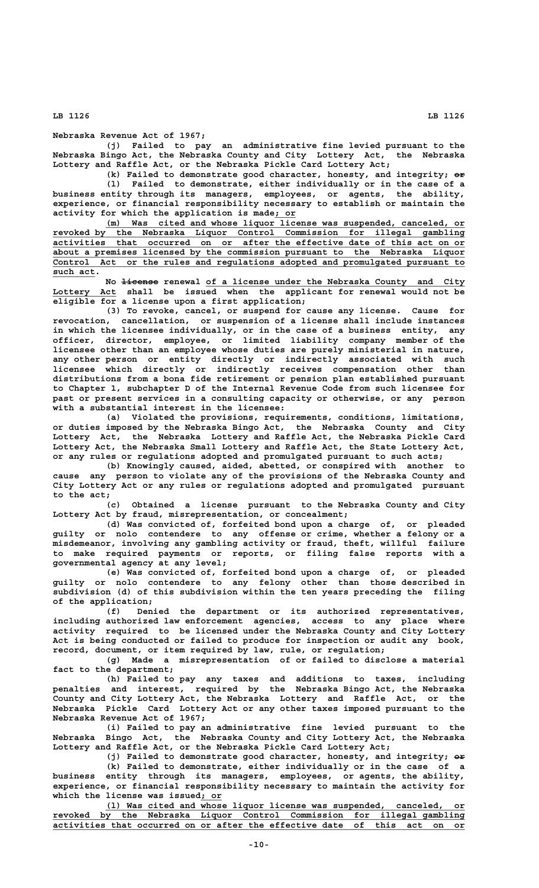## **Nebraska Revenue Act of 1967;**

**(j) Failed to pay an administrative fine levied pursuant to the Nebraska Bingo Act, the Nebraska County and City Lottery Act, the Nebraska Lottery and Raffle Act, or the Nebraska Pickle Card Lottery Act;**

(k) Failed to demonstrate good character, honesty, and integrity;  $e\rightarrow$ **(l) Failed to demonstrate, either individually or in the case of a business entity through its managers, employees, or agents, the ability, experience, or financial responsibility necessary to establish or maintain the \_\_\_\_ activity for which the application is made; or**

 **\_\_\_\_\_\_\_\_\_\_\_\_\_\_\_\_\_\_\_\_\_\_\_\_\_\_\_\_\_\_\_\_\_\_\_\_\_\_\_\_\_\_\_\_\_\_\_\_\_\_\_\_\_\_\_\_\_\_\_\_\_\_\_\_\_\_\_\_ (m) Was cited and whose liquor license was suspended, canceled, or \_\_\_\_\_\_\_\_\_\_\_\_\_\_\_\_\_\_\_\_\_\_\_\_\_\_\_\_\_\_\_\_\_\_\_\_\_\_\_\_\_\_\_\_\_\_\_\_\_\_\_\_\_\_\_\_\_\_\_\_\_\_\_\_\_\_\_\_\_\_\_\_\_\_\_\_\_\_ revoked by the Nebraska Liquor Control Commission for illegal gambling \_\_\_\_\_\_\_\_\_\_\_\_\_\_\_\_\_\_\_\_\_\_\_\_\_\_\_\_\_\_\_\_\_\_\_\_\_\_\_\_\_\_\_\_\_\_\_\_\_\_\_\_\_\_\_\_\_\_\_\_\_\_\_\_\_\_\_\_\_\_\_\_\_\_\_\_\_\_ activities that occurred on or after the effective date of this act on or \_\_\_\_\_\_\_\_\_\_\_\_\_\_\_\_\_\_\_\_\_\_\_\_\_\_\_\_\_\_\_\_\_\_\_\_\_\_\_\_\_\_\_\_\_\_\_\_\_\_\_\_\_\_\_\_\_\_\_\_\_\_\_\_\_\_\_\_\_\_\_\_\_\_\_\_\_\_ about a premises licensed by the commission pursuant to the Nebraska Liquor \_\_\_\_\_\_\_\_\_\_\_\_\_\_\_\_\_\_\_\_\_\_\_\_\_\_\_\_\_\_\_\_\_\_\_\_\_\_\_\_\_\_\_\_\_\_\_\_\_\_\_\_\_\_\_\_\_\_\_\_\_\_\_\_\_\_\_\_\_\_\_\_\_\_\_\_\_\_ Control Act or the rules and regulations adopted and promulgated pursuant to** such act.

 **——————— \_\_\_\_\_\_\_\_\_\_\_\_\_\_\_\_\_\_\_\_\_\_\_\_\_\_\_\_\_\_\_\_\_\_\_\_\_\_\_\_\_\_\_\_\_\_\_\_\_ No license renewal of a license under the Nebraska County and City \_\_\_\_\_\_\_\_\_\_\_\_ Lottery Act shall be issued when the applicant for renewal would not be eligible for a license upon a first application;**

**(3) To revoke, cancel, or suspend for cause any license. Cause for revocation, cancellation, or suspension of a license shall include instances in which the licensee individually, or in the case of a business entity, any officer, director, employee, or limited liability company member of the licensee other than an employee whose duties are purely ministerial in nature, any other person or entity directly or indirectly associated with such licensee which directly or indirectly receives compensation other than distributions from a bona fide retirement or pension plan established pursuant to Chapter 1, subchapter D of the Internal Revenue Code from such licensee for past or present services in a consulting capacity or otherwise, or any person with a substantial interest in the licensee:**

**(a) Violated the provisions, requirements, conditions, limitations, or duties imposed by the Nebraska Bingo Act, the Nebraska County and City Lottery Act, the Nebraska Lottery and Raffle Act, the Nebraska Pickle Card Lottery Act, the Nebraska Small Lottery and Raffle Act, the State Lottery Act, or any rules or regulations adopted and promulgated pursuant to such acts;**

**(b) Knowingly caused, aided, abetted, or conspired with another to cause any person to violate any of the provisions of the Nebraska County and City Lottery Act or any rules or regulations adopted and promulgated pursuant to the act;**

**(c) Obtained a license pursuant to the Nebraska County and City Lottery Act by fraud, misrepresentation, or concealment;**

**(d) Was convicted of, forfeited bond upon a charge of, or pleaded guilty or nolo contendere to any offense or crime, whether a felony or a misdemeanor, involving any gambling activity or fraud, theft, willful failure to make required payments or reports, or filing false reports with a governmental agency at any level;**

**(e) Was convicted of, forfeited bond upon a charge of, or pleaded guilty or nolo contendere to any felony other than those described in subdivision (d) of this subdivision within the ten years preceding the filing of the application;**

**(f) Denied the department or its authorized representatives, including authorized law enforcement agencies, access to any place where activity required to be licensed under the Nebraska County and City Lottery Act is being conducted or failed to produce for inspection or audit any book, record, document, or item required by law, rule, or regulation;**

**(g) Made a misrepresentation of or failed to disclose a material fact to the department;**

**(h) Failed to pay any taxes and additions to taxes, including penalties and interest, required by the Nebraska Bingo Act, the Nebraska County and City Lottery Act, the Nebraska Lottery and Raffle Act, or the Nebraska Pickle Card Lottery Act or any other taxes imposed pursuant to the Nebraska Revenue Act of 1967;**

**(i) Failed to pay an administrative fine levied pursuant to the Nebraska Bingo Act, the Nebraska County and City Lottery Act, the Nebraska Lottery and Raffle Act, or the Nebraska Pickle Card Lottery Act;**

(j) Failed to demonstrate good character, honesty, and integrity;  $\theta \neq 0$ **(k) Failed to demonstrate, either individually or in the case of a business entity through its managers, employees, or agents, the ability, experience, or financial responsibility necessary to maintain the activity for \_\_\_\_ which the license was issued; or**

 **\_\_\_\_\_\_\_\_\_\_\_\_\_\_\_\_\_\_\_\_\_\_\_\_\_\_\_\_\_\_\_\_\_\_\_\_\_\_\_\_\_\_\_\_\_\_\_\_\_\_\_\_\_\_\_\_\_\_\_\_\_\_\_\_\_\_\_\_ (l) Was cited and whose liquor license was suspended, canceled, or \_\_\_\_\_\_\_\_\_\_\_\_\_\_\_\_\_\_\_\_\_\_\_\_\_\_\_\_\_\_\_\_\_\_\_\_\_\_\_\_\_\_\_\_\_\_\_\_\_\_\_\_\_\_\_\_\_\_\_\_\_\_\_\_\_\_\_\_\_\_\_\_\_\_\_\_\_\_ revoked by the Nebraska Liquor Control Commission for illegal gambling \_\_\_\_\_\_\_\_\_\_\_\_\_\_\_\_\_\_\_\_\_\_\_\_\_\_\_\_\_\_\_\_\_\_\_\_\_\_\_\_\_\_\_\_\_\_\_\_\_\_\_\_\_\_\_\_\_\_\_\_\_\_\_\_\_\_\_\_\_\_\_\_\_\_\_\_\_\_ activities that occurred on or after the effective date of this act on or**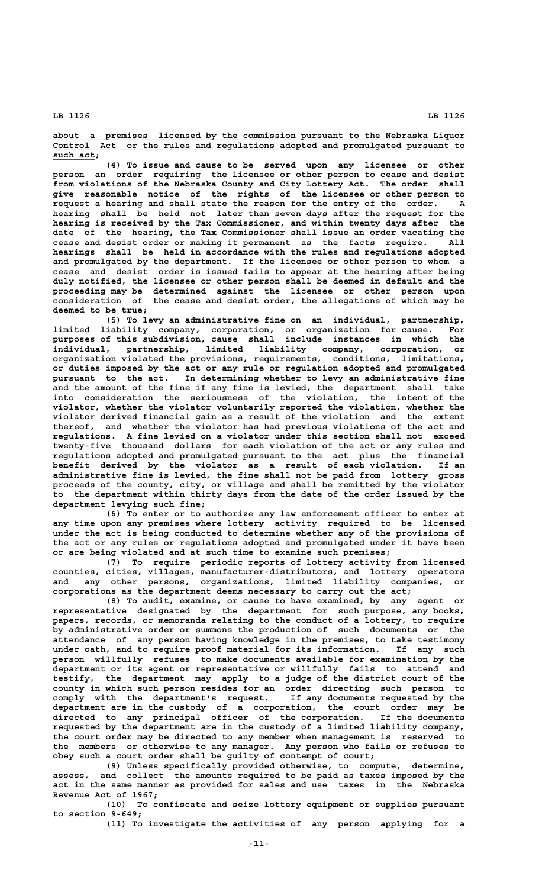**\_\_\_\_\_\_\_\_\_\_\_\_\_\_\_\_\_\_\_\_\_\_\_\_\_\_\_\_\_\_\_\_\_\_\_\_\_\_\_\_\_\_\_\_\_\_\_\_\_\_\_\_\_\_\_\_\_\_\_\_\_\_\_\_\_\_\_\_\_\_\_\_\_\_\_\_\_\_ about a premises licensed by the commission pursuant to the Nebraska Liquor \_\_\_\_\_\_\_\_\_\_\_\_\_\_\_\_\_\_\_\_\_\_\_\_\_\_\_\_\_\_\_\_\_\_\_\_\_\_\_\_\_\_\_\_\_\_\_\_\_\_\_\_\_\_\_\_\_\_\_\_\_\_\_\_\_\_\_\_\_\_\_\_\_\_\_\_\_\_ Control Act or the rules and regulations adopted and promulgated pursuant to** such act;

**(4) To issue and cause to be served upon any licensee or other person an order requiring the licensee or other person to cease and desist from violations of the Nebraska County and City Lottery Act. The order shall give reasonable notice of the rights of the licensee or other person to request a hearing and shall state the reason for the entry of the order. A hearing shall be held not later than seven days after the request for the hearing is received by the Tax Commissioner, and within twenty days after the date of the hearing, the Tax Commissioner shall issue an order vacating the cease and desist order or making it permanent as the facts require. All hearings shall be held in accordance with the rules and regulations adopted and promulgated by the department. If the licensee or other person to whom a cease and desist order is issued fails to appear at the hearing after being duly notified, the licensee or other person shall be deemed in default and the proceeding may be determined against the licensee or other person upon consideration of the cease and desist order, the allegations of which may be deemed to be true;**

**(5) To levy an administrative fine on an individual, partnership, limited liability company, corporation, or organization for cause. For purposes of this subdivision, cause shall include instances in which the individual, partnership, limited liability company, corporation, or organization violated the provisions, requirements, conditions, limitations, or duties imposed by the act or any rule or regulation adopted and promulgated pursuant to the act. In determining whether to levy an administrative fine and the amount of the fine if any fine is levied, the department shall take into consideration the seriousness of the violation, the intent of the violator, whether the violator voluntarily reported the violation, whether the violator derived financial gain as a result of the violation and the extent thereof, and whether the violator has had previous violations of the act and regulations. A fine levied on a violator under this section shall not exceed twenty-five thousand dollars for each violation of the act or any rules and regulations adopted and promulgated pursuant to the act plus the financial benefit derived by the violator as a result of each violation. If an administrative fine is levied, the fine shall not be paid from lottery gross proceeds of the county, city, or village and shall be remitted by the violator to the department within thirty days from the date of the order issued by the department levying such fine;**

**(6) To enter or to authorize any law enforcement officer to enter at any time upon any premises where lottery activity required to be licensed under the act is being conducted to determine whether any of the provisions of the act or any rules or regulations adopted and promulgated under it have been or are being violated and at such time to examine such premises;**

**(7) To require periodic reports of lottery activity from licensed counties, cities, villages, manufacturer-distributors, and lottery operators and any other persons, organizations, limited liability companies, or corporations as the department deems necessary to carry out the act;**

**(8) To audit, examine, or cause to have examined, by any agent or representative designated by the department for such purpose, any books, papers, records, or memoranda relating to the conduct of a lottery, to require by administrative order or summons the production of such documents or the attendance of any person having knowledge in the premises, to take testimony under oath, and to require proof material for its information. If any such person willfully refuses to make documents available for examination by the department or its agent or representative or willfully fails to attend and testify, the department may apply to a judge of the district court of the county in which such person resides for an order directing such person to comply with the department's request. If any documents requested by the department are in the custody of a corporation, the court order may be directed to any principal officer of the corporation. If the documents requested by the department are in the custody of a limited liability company, the court order may be directed to any member when management is reserved to the members or otherwise to any manager. Any person who fails or refuses to obey such a court order shall be guilty of contempt of court;**

**(9) Unless specifically provided otherwise, to compute, determine, assess, and collect the amounts required to be paid as taxes imposed by the act in the same manner as provided for sales and use taxes in the Nebraska Revenue Act of 1967;**

**(10) To confiscate and seize lottery equipment or supplies pursuant to section 9-649;**

**(11) To investigate the activities of any person applying for a**